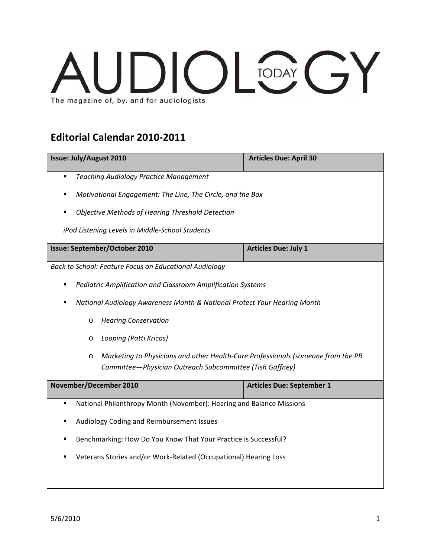## **JDIOLOGY** The magazine of, by, and for audiologists

## **Editorial Calendar 2010‐2011**

| <b>Issue: July/August 2010</b>                                                                                                                    | <b>Articles Due: April 30</b>    |  |
|---------------------------------------------------------------------------------------------------------------------------------------------------|----------------------------------|--|
| <b>Teaching Audiology Practice Management</b><br>٠                                                                                                |                                  |  |
| Motivational Engagement: The Line, The Circle, and the Box<br>٠                                                                                   |                                  |  |
| <b>Objective Methods of Hearing Threshold Detection</b>                                                                                           |                                  |  |
| iPod Listening Levels in Middle-School Students                                                                                                   |                                  |  |
| Issue: September/October 2010                                                                                                                     | <b>Articles Due: July 1</b>      |  |
| Back to School: Feature Focus on Educational Audiology                                                                                            |                                  |  |
| Pediatric Amplification and Classroom Amplification Systems                                                                                       |                                  |  |
| National Audiology Awareness Month & National Protect Your Hearing Month                                                                          |                                  |  |
| <b>Hearing Conservation</b><br>$\circ$                                                                                                            |                                  |  |
| Looping (Patti Kricos)<br>O                                                                                                                       |                                  |  |
| Marketing to Physicians and other Health-Care Professionals (someone from the PR<br>O<br>Committee-Physician Outreach Subcommittee (Tish Gaffney) |                                  |  |
| November/December 2010                                                                                                                            | <b>Articles Due: September 1</b> |  |
| National Philanthropy Month (November): Hearing and Balance Missions<br>٠                                                                         |                                  |  |
| Audiology Coding and Reimbursement Issues<br>٠                                                                                                    |                                  |  |
| Benchmarking: How Do You Know That Your Practice is Successful?<br>٠                                                                              |                                  |  |
| Veterans Stories and/or Work-Related (Occupational) Hearing Loss                                                                                  |                                  |  |
|                                                                                                                                                   |                                  |  |